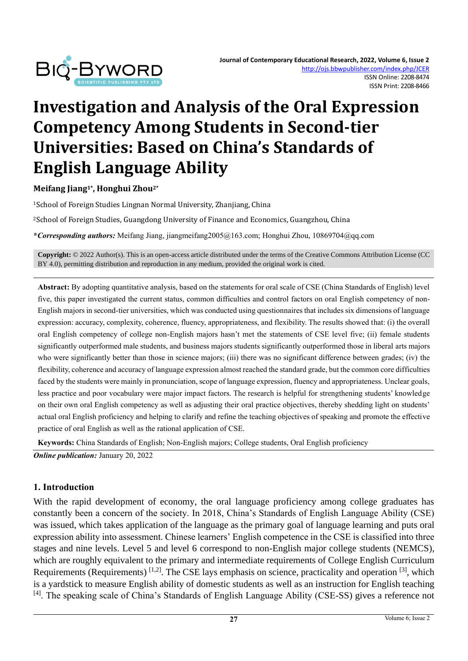

# **Investigation and Analysis of the Oral Expression Competency Among Students in Second-tier Universities: Based on China's Standards of English Language Ability**

**Meifang Jiang1\* , Honghui Zhou2\***

<sup>1</sup>School of Foreign Studies Lingnan Normal University, Zhanjiang, China

<sup>2</sup>School of Foreign Studies, Guangdong University of Finance and Economics, Guangzhou, China

**\****Corresponding authors:* Meifang Jiang, jiangmeifang2005@163.com; Honghui Zhou, 10869704@qq.com

**Copyright:** © 2022 Author(s). This is an open-access article distributed under the terms of th[e Creative Commons Attribution License \(CC](https://creativecommons.org/licenses/by/4.0/)  [BY 4.0\),](https://creativecommons.org/licenses/by/4.0/) permitting distribution and reproduction in any medium, provided the original work is cited.

**Abstract:** By adopting quantitative analysis, based on the statements for oral scale of CSE (China Standards of English) level five, this paper investigated the current status, common difficulties and control factors on oral English competency of non-English majors in second-tier universities, which was conducted using questionnaires that includes six dimensions of language expression: accuracy, complexity, coherence, fluency, appropriateness, and flexibility. The results showed that: (i) the overall oral English competency of college non-English majors hasn't met the statements of CSE level five; (ii) female students significantly outperformed male students, and business majors students significantly outperformed those in liberal arts majors who were significantly better than those in science majors; (iii) there was no significant difference between grades; (iv) the flexibility, coherence and accuracy of language expression almost reached the standard grade, but the common core difficulties faced by the students were mainly in pronunciation, scope of language expression, fluency and appropriateness. Unclear goals, less practice and poor vocabulary were major impact factors. The research is helpful for strengthening students' knowledge on their own oral English competency as well as adjusting their oral practice objectives, thereby shedding light on students' actual oral English proficiency and helping to clarify and refine the teaching objectives of speaking and promote the effective practice of oral English as well as the rational application of CSE.

**Keywords:** China Standards of English; Non-English majors; College students, Oral English proficiency *Online publication:* January 20, 2022

### **1. Introduction**

With the rapid development of economy, the oral language proficiency among college graduates has constantly been a concern of the society. In 2018, China's Standards of English Language Ability (CSE) was issued, which takes application of the language as the primary goal of language learning and puts oral expression ability into assessment. Chinese learners' English competence in the CSE is classified into three stages and nine levels. Level 5 and level 6 correspond to non-English major college students (NEMCS), which are roughly equivalent to the primary and intermediate requirements of College English Curriculum Requirements (Requirements)  $[1,2]$ . The CSE lays emphasis on science, practicality and operation  $[3]$ , which is a yardstick to measure English ability of domestic students as well as an instruction for English teaching <sup>[4]</sup>. The speaking scale of China's Standards of English Language Ability (CSE-SS) gives a reference not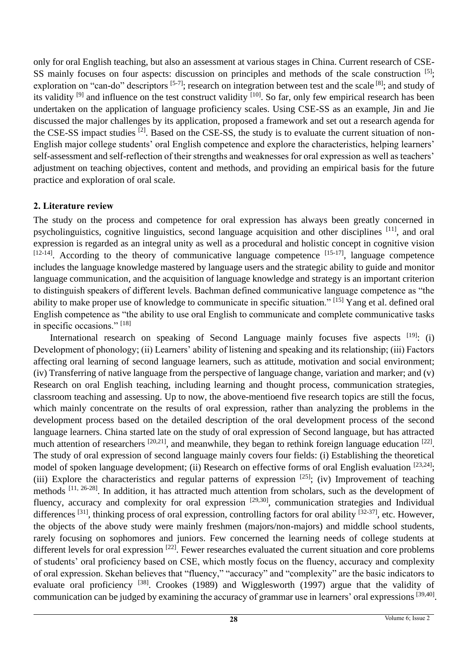only for oral English teaching, but also an assessment at various stages in China. Current research of CSE-SS mainly focuses on four aspects: discussion on principles and methods of the scale construction [5]; exploration on "can-do" descriptors <sup>[5-7]</sup>; research on integration between test and the scale <sup>[8]</sup>; and study of its validity <sup>[9]</sup> and influence on the test construct validity <sup>[10]</sup>. So far, only few empirical research has been undertaken on the application of language proficiency scales. Using CSE-SS as an example, Jin and Jie discussed the major challenges by its application, proposed a framework and set out a research agenda for the CSE-SS impact studies  $^{[2]}$ . Based on the CSE-SS, the study is to evaluate the current situation of non-English major college students' oral English competence and explore the characteristics, helping learners' self-assessment and self-reflection of their strengths and weaknesses for oral expression as well as teachers' adjustment on teaching objectives, content and methods, and providing an empirical basis for the future practice and exploration of oral scale.

### **2. Literature review**

The study on the process and competence for oral expression has always been greatly concerned in psycholinguistics, cognitive linguistics, second language acquisition and other disciplines [11], and oral expression is regarded as an integral unity as well as a procedural and holistic concept in cognitive vision  $[12-14]$ . According to the theory of communicative language competence  $[15-17]$ , language competence includes the language knowledge mastered by language users and the strategic ability to guide and monitor language communication, and the acquisition of language knowledge and strategy is an important criterion to distinguish speakers of different levels. Bachman defined communicative language competence as "the ability to make proper use of knowledge to communicate in specific situation." [15] Yang et al. defined oral English competence as "the ability to use oral English to communicate and complete communicative tasks in specific occasions." [18]

International research on speaking of Second Language mainly focuses five aspects  $[19]$ : (i) Development of phonology; (ii) Learners' ability of listening and speaking and its relationship; (iii) Factors affecting oral learning of second language learners, such as attitude, motivation and social environment; (iv) Transferring of native language from the perspective of language change, variation and marker; and (v) Research on oral English teaching, including learning and thought process, communication strategies, classroom teaching and assessing. Up to now, the above-mentioend five research topics are still the focus, which mainly concentrate on the results of oral expression, rather than analyzing the problems in the development process based on the detailed description of the oral development process of the second language learners. China started late on the study of oral expression of Second language, but has attracted much attention of researchers  $[20,21]$ , and meanwhile, they began to rethink foreign language education  $[22]$ . The study of oral expression of second language mainly covers four fields: (i) Establishing the theoretical model of spoken language development; (ii) Research on effective forms of oral English evaluation [23,24]; (iii) Explore the characteristics and regular patterns of expression  $[25]$ ; (iv) Improvement of teaching methods [11, 26-28]. In addition, it has attracted much attention from scholars, such as the development of fluency, accuracy and complexity for oral expression  $[29,30]$ , communication strategies and Individual differences <sup>[31]</sup>, thinking process of oral expression, controlling factors for oral ability <sup>[32-37]</sup>, etc. However, the objects of the above study were mainly freshmen (majors/non-majors) and middle school students, rarely focusing on sophomores and juniors. Few concerned the learning needs of college students at different levels for oral expression  $[22]$ . Fewer researches evaluated the current situation and core problems of students' oral proficiency based on CSE, which mostly focus on the fluency, accuracy and complexity of oral expression. Skehan believes that "fluency," "accuracy" and "complexity" are the basic indicators to evaluate oral proficiency <sup>[38]</sup>. Crookes (1989) and Wigglesworth (1997) argue that the validity of communication can be judged by examining the accuracy of grammar use in learners' oral expressions [39,40].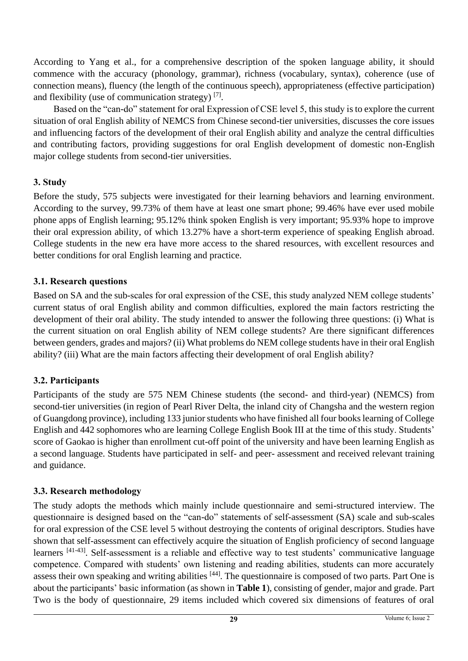According to Yang et al., for a comprehensive description of the spoken language ability, it should commence with the accuracy (phonology, grammar), richness (vocabulary, syntax), coherence (use of connection means), fluency (the length of the continuous speech), appropriateness (effective participation) and flexibility (use of communication strategy)  $^{[7]}$ .

Based on the "can-do" statement for oral Expression of CSE level 5, this study is to explore the current situation of oral English ability of NEMCS from Chinese second-tier universities, discusses the core issues and influencing factors of the development of their oral English ability and analyze the central difficulties and contributing factors, providing suggestions for oral English development of domestic non-English major college students from second-tier universities.

# **3. Study**

Before the study, 575 subjects were investigated for their learning behaviors and learning environment. According to the survey, 99.73% of them have at least one smart phone; 99.46% have ever used mobile phone apps of English learning; 95.12% think spoken English is very important; 95.93% hope to improve their oral expression ability, of which 13.27% have a short-term experience of speaking English abroad. College students in the new era have more access to the shared resources, with excellent resources and better conditions for oral English learning and practice.

# **3.1. Research questions**

Based on SA and the sub-scales for oral expression of the CSE, this study analyzed NEM college students' current status of oral English ability and common difficulties, explored the main factors restricting the development of their oral ability. The study intended to answer the following three questions: (i) What is the current situation on oral English ability of NEM college students? Are there significant differences between genders, grades and majors? (ii) What problems do NEM college students have in their oral English ability? (iii) What are the main factors affecting their development of oral English ability?

# **3.2. Participants**

Participants of the study are 575 NEM Chinese students (the second- and third-year) (NEMCS) from second-tier universities (in region of Pearl River Delta, the inland city of Changsha and the western region of Guangdong province), including 133 junior students who have finished all four books learning of College English and 442 sophomores who are learning College English Book III at the time of this study. Students' score of Gaokao is higher than enrollment cut-off point of the university and have been learning English as a second language. Students have participated in self- and peer- assessment and received relevant training and guidance.

# **3.3. Research methodology**

The study adopts the methods which mainly include questionnaire and semi-structured interview. The questionnaire is designed based on the "can-do" statements of self-assessment (SA) scale and sub-scales for oral expression of the CSE level 5 without destroying the contents of original descriptors. Studies have shown that self-assessment can effectively acquire the situation of English proficiency of second language learners [41-43]. Self-assessment is a reliable and effective way to test students' communicative language competence. Compared with students' own listening and reading abilities, students can more accurately assess their own speaking and writing abilities [44]. The questionnaire is composed of two parts. Part One is about the participants' basic information (as shown in **Table 1**), consisting of gender, major and grade. Part Two is the body of questionnaire, 29 items included which covered six dimensions of features of oral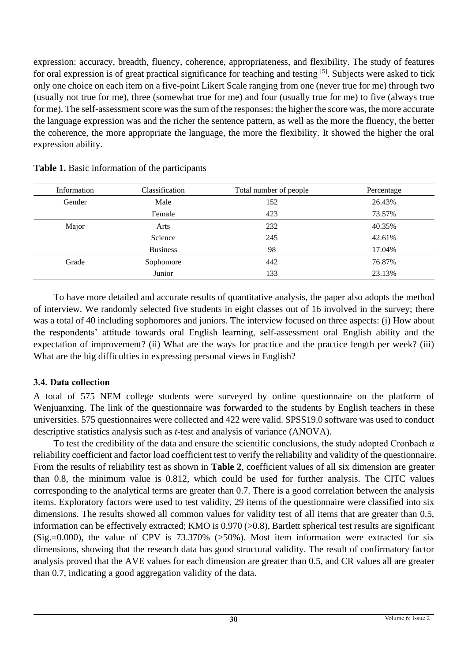expression: accuracy, breadth, fluency, coherence, appropriateness, and flexibility. The study of features for oral expression is of great practical significance for teaching and testing [5]. Subjects were asked to tick only one choice on each item on a five-point Likert Scale ranging from one (never true for me) through two (usually not true for me), three (somewhat true for me) and four (usually true for me) to five (always true for me). The self-assessment score was the sum of the responses: the higher the score was, the more accurate the language expression was and the richer the sentence pattern, as well as the more the fluency, the better the coherence, the more appropriate the language, the more the flexibility. It showed the higher the oral expression ability.

| Information | Classification  | Total number of people | Percentage |
|-------------|-----------------|------------------------|------------|
| Gender      | Male            | 152                    | 26.43%     |
|             | Female          | 423                    | 73.57%     |
| Major       | Arts            | 232                    | 40.35%     |
|             | Science         | 245                    | 42.61%     |
|             | <b>Business</b> | 98                     | 17.04%     |
| Grade       | Sophomore       | 442                    | 76.87%     |
|             | Junior          | 133                    | 23.13%     |

**Table 1.** Basic information of the participants

To have more detailed and accurate results of quantitative analysis, the paper also adopts the method of interview. We randomly selected five students in eight classes out of 16 involved in the survey; there was a total of 40 including sophomores and juniors. The interview focused on three aspects: (i) How about the respondents' attitude towards oral English learning, self-assessment oral English ability and the expectation of improvement? (ii) What are the ways for practice and the practice length per week? (iii) What are the big difficulties in expressing personal views in English?

### **3.4. Data collection**

A total of 575 NEM college students were surveyed by online questionnaire on the platform of Wenjuanxing. The link of the questionnaire was forwarded to the students by English teachers in these universities. 575 questionnaires were collected and 422 were valid. SPSS19.0 software was used to conduct descriptive statistics analysis such as *t*-test and analysis of variance (ANOVA).

To test the credibility of the data and ensure the scientific conclusions, the study adopted Cronbach  $\alpha$ reliability coefficient and factor load coefficient test to verify the reliability and validity of the questionnaire. From the results of reliability test as shown in **Table 2**, coefficient values of all six dimension are greater than 0.8, the minimum value is 0.812, which could be used for further analysis. The CITC values corresponding to the analytical terms are greater than 0.7. There is a good correlation between the analysis items. Exploratory factors were used to test validity, 29 items of the questionnaire were classified into six dimensions. The results showed all common values for validity test of all items that are greater than 0.5, information can be effectively extracted; KMO is 0.970 (>0.8), Bartlett spherical test results are significant (Sig.=0.000), the value of CPV is  $73.370\%$  ( $>50\%$ ). Most item information were extracted for six dimensions, showing that the research data has good structural validity. The result of confirmatory factor analysis proved that the AVE values for each dimension are greater than 0.5, and CR values all are greater than 0.7, indicating a good aggregation validity of the data.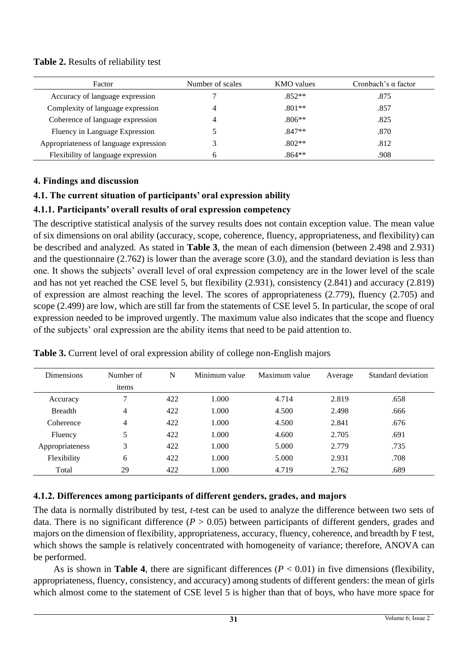#### **Table 2.** Results of reliability test

| Factor                                 | Number of scales | <b>KMO</b> values | Cronbach's $\alpha$ factor |
|----------------------------------------|------------------|-------------------|----------------------------|
| Accuracy of language expression        |                  | $.852**$          | .875                       |
| Complexity of language expression      |                  | $.801**$          | .857                       |
| Coherence of language expression       |                  | $.806**$          | .825                       |
| Fluency in Language Expression         |                  | $.847**$          | .870                       |
| Appropriateness of language expression |                  | $.802**$          | .812                       |
| Flexibility of language expression     | h                | $.864**$          | .908                       |

#### **4. Findings and discussion**

# **4.1. The current situation of participants' oral expression ability**

# **4.1.1. Participants' overall results of oral expression competency**

The descriptive statistical analysis of the survey results does not contain exception value. The mean value of six dimensions on oral ability (accuracy, scope, coherence, fluency, appropriateness, and flexibility) can be described and analyzed. As stated in **Table 3**, the mean of each dimension (between 2.498 and 2.931) and the questionnaire (2.762) is lower than the average score (3.0), and the standard deviation is less than one. It shows the subjects' overall level of oral expression competency are in the lower level of the scale and has not yet reached the CSE level 5, but flexibility (2.931), consistency (2.841) and accuracy (2.819) of expression are almost reaching the level. The scores of appropriateness (2.779), fluency (2.705) and scope (2.499) are low, which are still far from the statements of CSE level 5. In particular, the scope of oral expression needed to be improved urgently. The maximum value also indicates that the scope and fluency of the subjects' oral expression are the ability items that need to be paid attention to.

| <b>Dimensions</b> | Number of      | N   | Minimum value | Maximum value | Average | Standard deviation |
|-------------------|----------------|-----|---------------|---------------|---------|--------------------|
|                   | items          |     |               |               |         |                    |
| Accuracy          | 7              | 422 | 1.000         | 4.714         | 2.819   | .658               |
| <b>Breadth</b>    | 4              | 422 | 1.000         | 4.500         | 2.498   | .666               |
| Coherence         | $\overline{4}$ | 422 | 1.000         | 4.500         | 2.841   | .676               |
| Fluency           | 5              | 422 | 1.000         | 4.600         | 2.705   | .691               |
| Appropriateness   | 3              | 422 | 1.000         | 5.000         | 2.779   | .735               |
| Flexibility       | 6              | 422 | 1.000         | 5.000         | 2.931   | .708               |
| Total             | 29             | 422 | 1.000         | 4.719         | 2.762   | .689               |

**Table 3.** Current level of oral expression ability of college non-English majors

### **4.1.2. Differences among participants of different genders, grades, and majors**

The data is normally distributed by test, *t*-test can be used to analyze the difference between two sets of data. There is no significant difference  $(P > 0.05)$  between participants of different genders, grades and majors on the dimension of flexibility, appropriateness, accuracy, fluency, coherence, and breadth by F test, which shows the sample is relatively concentrated with homogeneity of variance; therefore, ANOVA can be performed.

As is shown in **Table 4**, there are significant differences  $(P < 0.01)$  in five dimensions (flexibility, appropriateness, fluency, consistency, and accuracy) among students of different genders: the mean of girls which almost come to the statement of CSE level 5 is higher than that of boys, who have more space for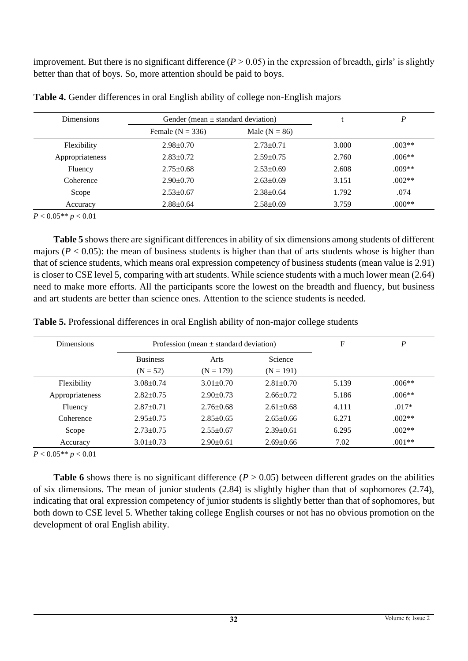improvement. But there is no significant difference  $(P > 0.05)$  in the expression of breadth, girls' is slightly better than that of boys. So, more attention should be paid to boys.

| <b>Dimensions</b> | Gender (mean $\pm$ standard deviation) |                 | D     |          |
|-------------------|----------------------------------------|-----------------|-------|----------|
|                   | Female $(N = 336)$                     | Male $(N = 86)$ |       |          |
| Flexibility       | $2.98 \pm 0.70$                        | $2.73 \pm 0.71$ | 3.000 | $.003**$ |
| Appropriateness   | $2.83 \pm 0.72$                        | $2.59 \pm 0.75$ | 2.760 | $.006**$ |
| Fluency           | $2.75 \pm 0.68$                        | $2.53 \pm 0.69$ | 2.608 | $.009**$ |
| Coherence         | $2.90 \pm 0.70$                        | $2.63 \pm 0.69$ | 3.151 | $.002**$ |
| Scope             | $2.53 \pm 0.67$                        | $2.38 \pm 0.64$ | 1.792 | .074     |
| Accuracy          | $2.88 \pm 0.64$                        | $2.58 \pm 0.69$ | 3.759 | $0.00**$ |

**Table 4.** Gender differences in oral English ability of college non-English majors

*P* < 0.05\*\* *p* < 0.01

**Table 5** shows there are significant differences in ability of six dimensions among students of different majors ( $P < 0.05$ ): the mean of business students is higher than that of arts students whose is higher than that of science students, which means oral expression competency of business students (mean value is 2.91) is closer to CSE level 5, comparing with art students. While science students with a much lower mean (2.64) need to make more efforts. All the participants score the lowest on the breadth and fluency, but business and art students are better than science ones. Attention to the science students is needed.

**Table 5.** Professional differences in oral English ability of non-major college students

| <b>Dimensions</b> |                 | Profession (mean $\pm$ standard deviation) | F               | P     |          |
|-------------------|-----------------|--------------------------------------------|-----------------|-------|----------|
|                   | <b>Business</b> | Arts                                       | Science         |       |          |
|                   | $(N = 52)$      | $(N = 179)$                                | $(N = 191)$     |       |          |
| Flexibility       | $3.08 + 0.74$   | $3.01 + 0.70$                              | $2.81 \pm 0.70$ | 5.139 | $.006**$ |
| Appropriateness   | $2.82+0.75$     | $2.90+0.73$                                | $2.66 \pm 0.72$ | 5.186 | $.006**$ |
| Fluency           | $2.87 \pm 0.71$ | $2.76 \pm 0.68$                            | $2.61 \pm 0.68$ | 4.111 | $.017*$  |
| Coherence         | $2.95 \pm 0.75$ | $2.85 \pm 0.65$                            | $2.65 \pm 0.66$ | 6.271 | $.002**$ |
| Scope             | $2.73 \pm 0.75$ | $2.55+0.67$                                | $2.39 \pm 0.61$ | 6.295 | $.002**$ |
| Accuracy          | $3.01 + 0.73$   | $2.90+0.61$                                | $2.69 + 0.66$   | 7.02  | $.001**$ |

*P* < 0.05\*\* *p* < 0.01

**Table 6** shows there is no significant difference ( $P > 0.05$ ) between different grades on the abilities of six dimensions. The mean of junior students (2.84) is slightly higher than that of sophomores (2.74), indicating that oral expression competency of junior students is slightly better than that of sophomores, but both down to CSE level 5. Whether taking college English courses or not has no obvious promotion on the development of oral English ability.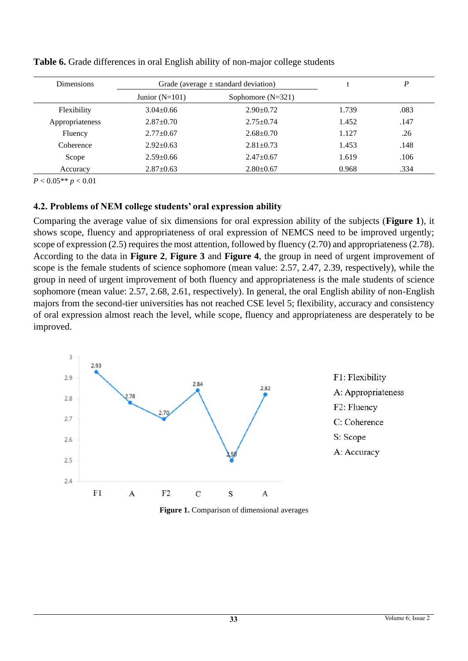| <b>Dimensions</b> | Grade (average $\pm$ standard deviation) |                 | D     |      |
|-------------------|------------------------------------------|-----------------|-------|------|
|                   | Junior $(N=101)$<br>Sophomore $(N=321)$  |                 |       |      |
| Flexibility       | $3.04\pm0.66$                            | $2.90 \pm 0.72$ | 1.739 | .083 |
| Appropriateness   | $2.87 \pm 0.70$                          | $2.75+0.74$     | 1.452 | .147 |
| Fluency           | $2.77 \pm 0.67$                          | $2.68 \pm 0.70$ | 1.127 | .26  |
| Coherence         | $2.92 \pm 0.63$                          | $2.81 \pm 0.73$ | 1.453 | .148 |
| Scope             | $2.59 \pm 0.66$                          | $2.47+0.67$     | 1.619 | .106 |
| Accuracy          | $2.87 \pm 0.63$                          | $2.80 \pm 0.67$ | 0.968 | .334 |

**Table 6.** Grade differences in oral English ability of non-major college students

*P* < 0.05\*\* *p* < 0.01

# **4.2. Problems of NEM college students' oral expression ability**

Comparing the average value of six dimensions for oral expression ability of the subjects (**Figure 1**), it shows scope, fluency and appropriateness of oral expression of NEMCS need to be improved urgently; scope of expression (2.5) requires the most attention, followed by fluency (2.70) and appropriateness (2.78). According to the data in **Figure 2**, **Figure 3** and **Figure 4**, the group in need of urgent improvement of scope is the female students of science sophomore (mean value: 2.57, 2.47, 2.39, respectively), while the group in need of urgent improvement of both fluency and appropriateness is the male students of science sophomore (mean value: 2.57, 2.68, 2.61, respectively). In general, the oral English ability of non-English majors from the second-tier universities has not reached CSE level 5; flexibility, accuracy and consistency of oral expression almost reach the level, while scope, fluency and appropriateness are desperately to be improved.



**Figure 1.** Comparison of dimensional averages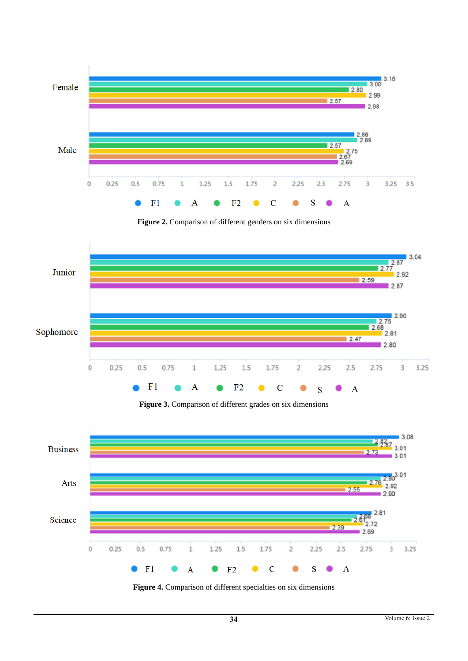

**Figure 2.** Comparison of different genders on six dimensions



**Figure 3.** Comparison of different grades on six dimensions



**Figure 4.** Comparison of different specialties on six dimensions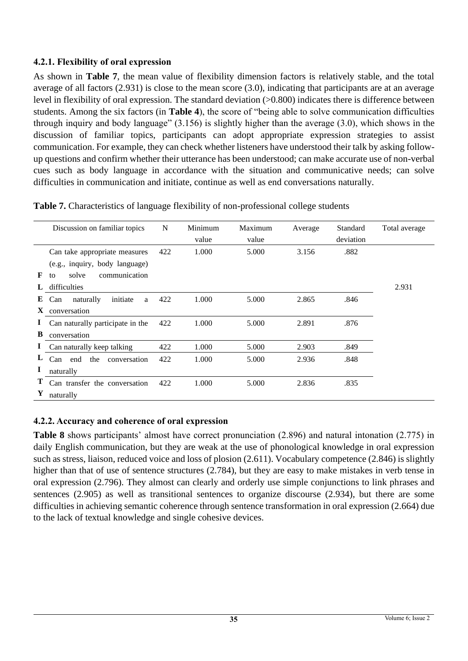# **4.2.1. Flexibility of oral expression**

As shown in **Table 7**, the mean value of flexibility dimension factors is relatively stable, and the total average of all factors (2.931) is close to the mean score (3.0), indicating that participants are at an average level in flexibility of oral expression. The standard deviation (>0.800) indicates there is difference between students. Among the six factors (in **Table 4**), the score of "being able to solve communication difficulties through inquiry and body language" (3.156) is slightly higher than the average (3.0), which shows in the discussion of familiar topics, participants can adopt appropriate expression strategies to assist communication. For example, they can check whether listeners have understood their talk by asking followup questions and confirm whether their utterance has been understood; can make accurate use of non-verbal cues such as body language in accordance with the situation and communicative needs; can solve difficulties in communication and initiate, continue as well as end conversations naturally.

|                   | Discussion on familiar topics                                   | N   | Minimum<br>value | Maximum<br>value | Average | Standard<br>deviation | Total average |
|-------------------|-----------------------------------------------------------------|-----|------------------|------------------|---------|-----------------------|---------------|
|                   | Can take appropriate measures<br>(e.g., inquiry, body language) | 422 | 1.000            | 5.000            | 3.156   | .882                  |               |
| F                 | communication<br>solve<br>to<br>difficulties                    |     |                  |                  |         |                       | 2.931         |
| E<br>$\mathbf{X}$ | initiate<br>naturally<br>Can<br>a<br>conversation               | 422 | 1.000            | 5.000            | 2.865   | .846                  |               |
| В                 | Can naturally participate in the<br>conversation                | 422 | 1.000            | 5.000            | 2.891   | .876                  |               |
| $\mathbf{I}$      | Can naturally keep talking                                      | 422 | 1.000            | 5.000            | 2.903   | .849                  |               |
|                   | Can end the<br>conversation                                     | 422 | 1.000            | 5.000            | 2.936   | .848                  |               |
| 1                 | naturally                                                       |     |                  |                  |         |                       |               |
| Т<br>Y            | Can transfer the conversation<br>naturally                      | 422 | 1.000            | 5.000            | 2.836   | .835                  |               |

**Table 7.** Characteristics of language flexibility of non-professional college students

# **4.2.2. Accuracy and coherence of oral expression**

**Table 8** shows participants' almost have correct pronunciation (2.896) and natural intonation (2.775) in daily English communication, but they are weak at the use of phonological knowledge in oral expression such as stress, liaison, reduced voice and loss of plosion (2.611). Vocabulary competence (2.846) is slightly higher than that of use of sentence structures (2.784), but they are easy to make mistakes in verb tense in oral expression (2.796). They almost can clearly and orderly use simple conjunctions to link phrases and sentences (2.905) as well as transitional sentences to organize discourse (2.934), but there are some difficulties in achieving semantic coherence through sentence transformation in oral expression (2.664) due to the lack of textual knowledge and single cohesive devices.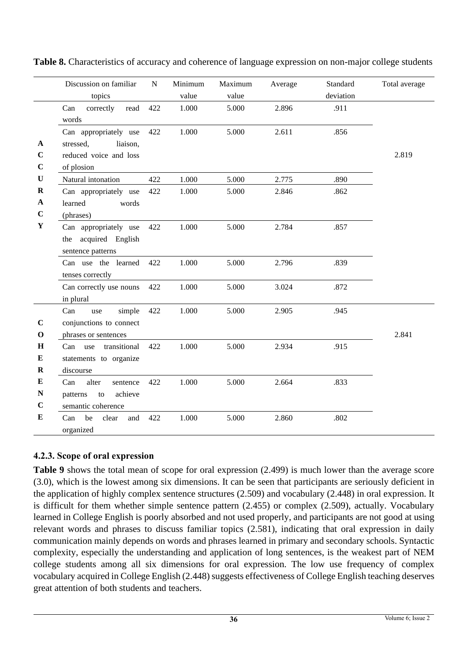|              | Discussion on familiar                        | ${\bf N}$ | Minimum | Maximum | Average | Standard  | Total average |
|--------------|-----------------------------------------------|-----------|---------|---------|---------|-----------|---------------|
|              | topics                                        |           | value   | value   |         | deviation |               |
|              | Can<br>read<br>correctly                      | 422       | 1.000   | 5.000   | 2.896   | .911      |               |
|              | words                                         |           |         |         |         |           |               |
|              | Can appropriately use                         | 422       | 1.000   | 5.000   | 2.611   | .856      |               |
| A            | stressed,<br>liaison,                         |           |         |         |         |           |               |
| $\mathbf C$  | reduced voice and loss                        |           |         |         |         |           | 2.819         |
| $\mathbf C$  | of plosion                                    |           |         |         |         |           |               |
| $\mathbf U$  | Natural intonation                            | 422       | 1.000   | 5.000   | 2.775   | .890      |               |
| $\bf R$      | Can appropriately use                         | 422       | 1.000   | 5.000   | 2.846   | .862      |               |
| $\mathbf A$  | learned<br>words                              |           |         |         |         |           |               |
| $\mathbf C$  | (phrases)                                     |           |         |         |         |           |               |
| $\mathbf Y$  | Can appropriately use                         | 422       | 1.000   | 5.000   | 2.784   | .857      |               |
|              | acquired English<br>the                       |           |         |         |         |           |               |
|              | sentence patterns                             |           |         |         |         |           |               |
|              | Can use the learned                           | 422       | 1.000   | 5.000   | 2.796   | .839      |               |
|              | tenses correctly                              |           |         |         |         |           |               |
|              | Can correctly use nouns                       | 422       | 1.000   | 5.000   | 3.024   | .872      |               |
|              | in plural                                     |           |         |         |         |           |               |
|              | Can<br>simple<br>use                          | 422       | 1.000   | 5.000   | 2.905   | .945      |               |
| $\mathbf C$  | conjunctions to connect                       |           |         |         |         |           |               |
| $\mathbf{o}$ | phrases or sentences                          |           |         |         |         |           | 2.841         |
| H            | transitional<br>Can use                       | 422       | 1.000   | 5.000   | 2.934   | .915      |               |
| ${\bf E}$    | statements to organize                        |           |         |         |         |           |               |
| $\bf R$      | discourse                                     |           |         |         |         |           |               |
| ${\bf E}$    | alter<br>Can<br>sentence                      | 422       | 1.000   | 5.000   | 2.664   | .833      |               |
| ${\bf N}$    | achieve<br>patterns<br>$\mathop{\mathrm{to}}$ |           |         |         |         |           |               |
| $\mathbf C$  | semantic coherence                            |           |         |         |         |           |               |
| ${\bf E}$    | be<br>and<br>Can<br>clear                     | 422       | 1.000   | 5.000   | 2.860   | .802      |               |
|              | organized                                     |           |         |         |         |           |               |

**Table 8.** Characteristics of accuracy and coherence of language expression on non-major college students

# **4.2.3. Scope of oral expression**

**Table 9** shows the total mean of scope for oral expression (2.499) is much lower than the average score (3.0), which is the lowest among six dimensions. It can be seen that participants are seriously deficient in the application of highly complex sentence structures (2.509) and vocabulary (2.448) in oral expression. It is difficult for them whether simple sentence pattern (2.455) or complex (2.509), actually. Vocabulary learned in College English is poorly absorbed and not used properly, and participants are not good at using relevant words and phrases to discuss familiar topics (2.581), indicating that oral expression in daily communication mainly depends on words and phrases learned in primary and secondary schools. Syntactic complexity, especially the understanding and application of long sentences, is the weakest part of NEM college students among all six dimensions for oral expression. The low use frequency of complex vocabulary acquired in College English (2.448) suggests effectiveness of College English teaching deserves great attention of both students and teachers.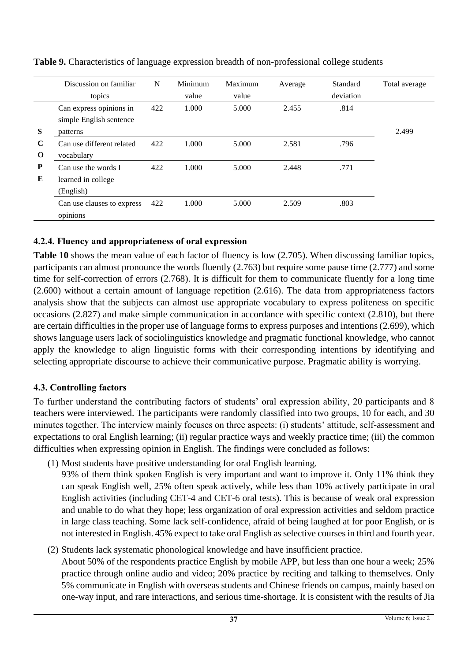|             | Discussion on familiar     | N   | Minimum | Maximum | Average | Standard  | Total average |
|-------------|----------------------------|-----|---------|---------|---------|-----------|---------------|
|             | topics                     |     | value   | value   |         | deviation |               |
|             | Can express opinions in    | 422 | 1.000   | 5.000   | 2.455   | .814      |               |
|             | simple English sentence    |     |         |         |         |           |               |
| S           | patterns                   |     |         |         |         |           | 2.499         |
| $\mathbf C$ | Can use different related  | 422 | 1.000   | 5.000   | 2.581   | .796      |               |
| $\bf{O}$    | vocabulary                 |     |         |         |         |           |               |
| P           | Can use the words I        | 422 | 1.000   | 5.000   | 2.448   | .771      |               |
| E           | learned in college         |     |         |         |         |           |               |
|             | (English)                  |     |         |         |         |           |               |
|             | Can use clauses to express | 422 | 1.000   | 5.000   | 2.509   | .803      |               |
|             | opinions                   |     |         |         |         |           |               |

**Table 9.** Characteristics of language expression breadth of non-professional college students

# **4.2.4. Fluency and appropriateness of oral expression**

**Table 10** shows the mean value of each factor of fluency is low (2.705). When discussing familiar topics, participants can almost pronounce the words fluently (2.763) but require some pause time (2.777) and some time for self-correction of errors (2.768). It is difficult for them to communicate fluently for a long time (2.600) without a certain amount of language repetition (2.616). The data from appropriateness factors analysis show that the subjects can almost use appropriate vocabulary to express politeness on specific occasions (2.827) and make simple communication in accordance with specific context (2.810), but there are certain difficulties in the proper use of language forms to express purposes and intentions (2.699), which shows language users lack of sociolinguistics knowledge and pragmatic functional knowledge, who cannot apply the knowledge to align linguistic forms with their corresponding intentions by identifying and selecting appropriate discourse to achieve their communicative purpose. Pragmatic ability is worrying.

# **4.3. Controlling factors**

To further understand the contributing factors of students' oral expression ability, 20 participants and 8 teachers were interviewed. The participants were randomly classified into two groups, 10 for each, and 30 minutes together. The interview mainly focuses on three aspects: (i) students' attitude, self-assessment and expectations to oral English learning; (ii) regular practice ways and weekly practice time; (iii) the common difficulties when expressing opinion in English. The findings were concluded as follows:

- (1) Most students have positive understanding for oral English learning.
	- 93% of them think spoken English is very important and want to improve it. Only 11% think they can speak English well, 25% often speak actively, while less than 10% actively participate in oral English activities (including CET-4 and CET-6 oral tests). This is because of weak oral expression and unable to do what they hope; less organization of oral expression activities and seldom practice in large class teaching. Some lack self-confidence, afraid of being laughed at for poor English, or is not interested in English. 45% expect to take oral English as selective courses in third and fourth year.
- (2) Students lack systematic phonological knowledge and have insufficient practice. About 50% of the respondents practice English by mobile APP, but less than one hour a week; 25% practice through online audio and video; 20% practice by reciting and talking to themselves. Only 5% communicate in English with overseas students and Chinese friends on campus, mainly based on one-way input, and rare interactions, and serious time-shortage. It is consistent with the results of Jia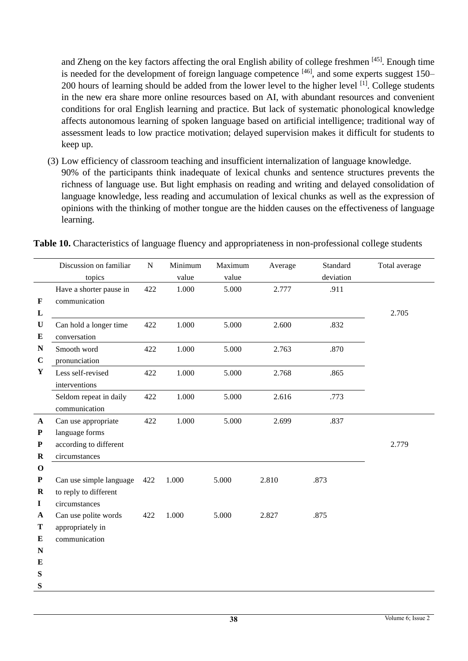and Zheng on the key factors affecting the oral English ability of college freshmen [45]. Enough time is needed for the development of foreign language competence  $[46]$ , and some experts suggest 150– 200 hours of learning should be added from the lower level to the higher level <sup>[1]</sup>. College students in the new era share more online resources based on AI, with abundant resources and convenient conditions for oral English learning and practice. But lack of systematic phonological knowledge affects autonomous learning of spoken language based on artificial intelligence; traditional way of assessment leads to low practice motivation; delayed supervision makes it difficult for students to keep up.

(3) Low efficiency of classroom teaching and insufficient internalization of language knowledge. 90% of the participants think inadequate of lexical chunks and sentence structures prevents the richness of language use. But light emphasis on reading and writing and delayed consolidation of language knowledge, less reading and accumulation of lexical chunks as well as the expression of opinions with the thinking of mother tongue are the hidden causes on the effectiveness of language learning.

|              | Discussion on familiar  | ${\bf N}$ | Minimum | Maximum | Average | Standard  | Total average |
|--------------|-------------------------|-----------|---------|---------|---------|-----------|---------------|
|              | topics                  |           | value   | value   |         | deviation |               |
|              | Have a shorter pause in | 422       | 1.000   | 5.000   | 2.777   | .911      |               |
| $\mathbf{F}$ | communication           |           |         |         |         |           |               |
| L            |                         |           |         |         |         |           | 2.705         |
| $\mathbf U$  | Can hold a longer time  | 422       | 1.000   | 5.000   | 2.600   | .832      |               |
| ${\bf E}$    | conversation            |           |         |         |         |           |               |
| ${\bf N}$    | Smooth word             | 422       | 1.000   | 5.000   | 2.763   | .870      |               |
| $\mathbf C$  | pronunciation           |           |         |         |         |           |               |
| $\mathbf Y$  | Less self-revised       | 422       | 1.000   | 5.000   | 2.768   | .865      |               |
|              | interventions           |           |         |         |         |           |               |
|              | Seldom repeat in daily  | 422       | 1.000   | 5.000   | 2.616   | .773      |               |
|              | communication           |           |         |         |         |           |               |
| $\mathbf{A}$ | Can use appropriate     | 422       | 1.000   | 5.000   | 2.699   | .837      |               |
| ${\bf P}$    | language forms          |           |         |         |         |           |               |
| ${\bf P}$    | according to different  |           |         |         |         |           | 2.779         |
| $\bf R$      | circumstances           |           |         |         |         |           |               |
| $\mathbf 0$  |                         |           |         |         |         |           |               |
| ${\bf P}$    | Can use simple language | 422       | 1.000   | 5.000   | 2.810   | .873      |               |
| $\bf R$      | to reply to different   |           |         |         |         |           |               |
| $\mathbf I$  | circumstances           |           |         |         |         |           |               |
| $\mathbf A$  | Can use polite words    | 422       | 1.000   | 5.000   | 2.827   | .875      |               |
| Т            | appropriately in        |           |         |         |         |           |               |
| E            | communication           |           |         |         |         |           |               |
| ${\bf N}$    |                         |           |         |         |         |           |               |
| E            |                         |           |         |         |         |           |               |
| ${\bf S}$    |                         |           |         |         |         |           |               |
| S            |                         |           |         |         |         |           |               |

**Table 10.** Characteristics of language fluency and appropriateness in non-professional college students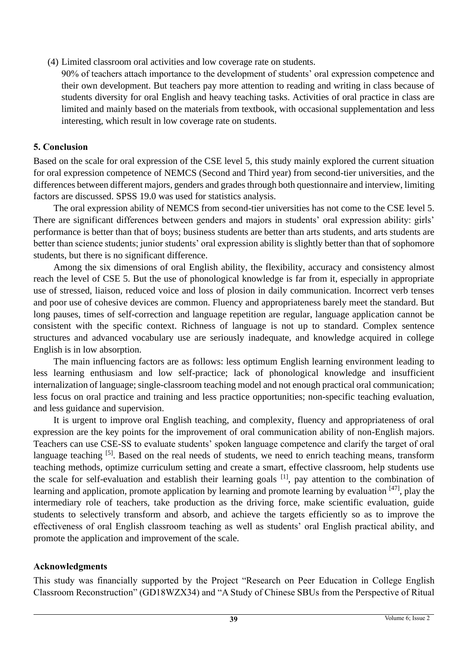(4) Limited classroom oral activities and low coverage rate on students.

90% of teachers attach importance to the development of students' oral expression competence and their own development. But teachers pay more attention to reading and writing in class because of students diversity for oral English and heavy teaching tasks. Activities of oral practice in class are limited and mainly based on the materials from textbook, with occasional supplementation and less interesting, which result in low coverage rate on students.

### **5. Conclusion**

Based on the scale for oral expression of the CSE level 5, this study mainly explored the current situation for oral expression competence of NEMCS (Second and Third year) from second-tier universities, and the differences between different majors, genders and grades through both questionnaire and interview, limiting factors are discussed. SPSS 19.0 was used for statistics analysis.

The oral expression ability of NEMCS from second-tier universities has not come to the CSE level 5. There are significant differences between genders and majors in students' oral expression ability: girls' performance is better than that of boys; business students are better than arts students, and arts students are better than science students; junior students' oral expression ability is slightly better than that of sophomore students, but there is no significant difference.

Among the six dimensions of oral English ability, the flexibility, accuracy and consistency almost reach the level of CSE 5. But the use of phonological knowledge is far from it, especially in appropriate use of stressed, liaison, reduced voice and loss of plosion in daily communication. Incorrect verb tenses and poor use of cohesive devices are common. Fluency and appropriateness barely meet the standard. But long pauses, times of self-correction and language repetition are regular, language application cannot be consistent with the specific context. Richness of language is not up to standard. Complex sentence structures and advanced vocabulary use are seriously inadequate, and knowledge acquired in college English is in low absorption.

The main influencing factors are as follows: less optimum English learning environment leading to less learning enthusiasm and low self-practice; lack of phonological knowledge and insufficient internalization of language; single-classroom teaching model and not enough practical oral communication; less focus on oral practice and training and less practice opportunities; non-specific teaching evaluation, and less guidance and supervision.

It is urgent to improve oral English teaching, and complexity, fluency and appropriateness of oral expression are the key points for the improvement of oral communication ability of non-English majors. Teachers can use CSE-SS to evaluate students' spoken language competence and clarify the target of oral language teaching <sup>[5]</sup>. Based on the real needs of students, we need to enrich teaching means, transform teaching methods, optimize curriculum setting and create a smart, effective classroom, help students use the scale for self-evaluation and establish their learning goals [1], pay attention to the combination of learning and application, promote application by learning and promote learning by evaluation [47], play the intermediary role of teachers, take production as the driving force, make scientific evaluation, guide students to selectively transform and absorb, and achieve the targets efficiently so as to improve the effectiveness of oral English classroom teaching as well as students' oral English practical ability, and promote the application and improvement of the scale.

### **Acknowledgments**

This study was financially supported by the Project "Research on Peer Education in College English Classroom Reconstruction" (GD18WZX34) and "A Study of Chinese SBUs from the Perspective of Ritual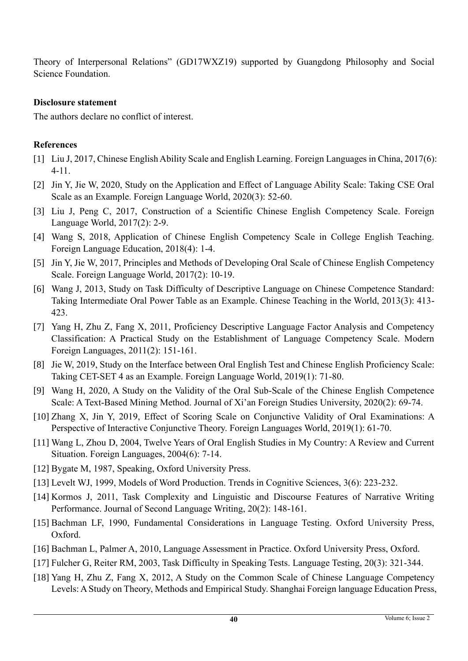Theory of Interpersonal Relations" (GD17WXZ19) supported by Guangdong Philosophy and Social Science Foundation.

#### **Disclosure statement**

The authors declare no conflict of interest.

# **References**

- [1] Liu J, 2017, Chinese English Ability Scale and English Learning. Foreign Languages in China, 2017(6): 4-11.
- [2] Jin Y, Jie W, 2020, Study on the Application and Effect of Language Ability Scale: Taking CSE Oral Scale as an Example. Foreign Language World, 2020(3): 52-60.
- [3] Liu J, Peng C, 2017, Construction of a Scientific Chinese English Competency Scale. Foreign Language World, 2017(2): 2-9.
- [4] Wang S, 2018, Application of Chinese English Competency Scale in College English Teaching. Foreign Language Education, 2018(4): 1-4.
- [5] Jin Y, Jie W, 2017, Principles and Methods of Developing Oral Scale of Chinese English Competency Scale. Foreign Language World, 2017(2): 10-19.
- [6] Wang J, 2013, Study on Task Difficulty of Descriptive Language on Chinese Competence Standard: Taking Intermediate Oral Power Table as an Example. Chinese Teaching in the World, 2013(3): 413- 423.
- [7] Yang H, Zhu Z, Fang X, 2011, Proficiency Descriptive Language Factor Analysis and Competency Classification: A Practical Study on the Establishment of Language Competency Scale. Modern Foreign Languages, 2011(2): 151-161.
- [8] Jie W, 2019, Study on the Interface between Oral English Test and Chinese English Proficiency Scale: Taking CET-SET 4 as an Example. Foreign Language World, 2019(1): 71-80.
- [9] Wang H, 2020, A Study on the Validity of the Oral Sub-Scale of the Chinese English Competence Scale: A Text-Based Mining Method. Journal of Xi'an Foreign Studies University, 2020(2): 69-74.
- [10] Zhang X, Jin Y, 2019, Effect of Scoring Scale on Conjunctive Validity of Oral Examinations: A Perspective of Interactive Conjunctive Theory. Foreign Languages World, 2019(1): 61-70.
- [11] Wang L, Zhou D, 2004, Twelve Years of Oral English Studies in My Country: A Review and Current Situation. Foreign Languages, 2004(6): 7-14.
- [12] Bygate M, 1987, Speaking, Oxford University Press.
- [13] Levelt WJ, 1999, Models of Word Production. Trends in Cognitive Sciences, 3(6): 223-232.
- [14] Kormos J, 2011, Task Complexity and Linguistic and Discourse Features of Narrative Writing Performance. Journal of Second Language Writing, 20(2): 148-161.
- [15] Bachman LF, 1990, Fundamental Considerations in Language Testing. Oxford University Press, Oxford.
- [16] Bachman L, Palmer A, 2010, Language Assessment in Practice. Oxford University Press, Oxford.
- [17] Fulcher G, Reiter RM, 2003, Task Difficulty in Speaking Tests. Language Testing, 20(3): 321-344.
- [18] Yang H, Zhu Z, Fang X, 2012, A Study on the Common Scale of Chinese Language Competency Levels: A Study on Theory, Methods and Empirical Study. Shanghai Foreign language Education Press,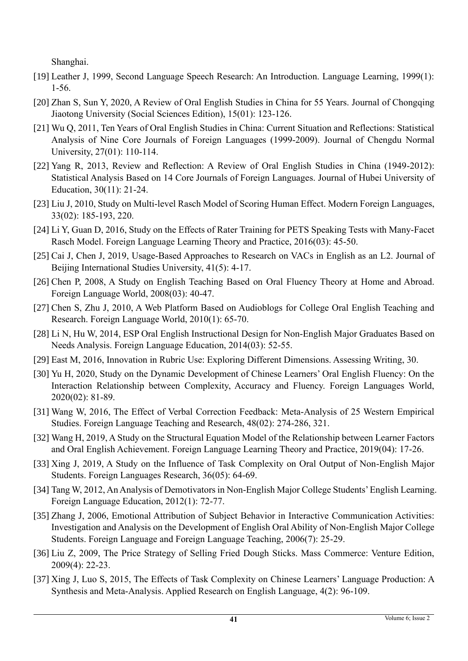Shanghai.

- [19] Leather J, 1999, Second Language Speech Research: An Introduction. Language Learning, 1999(1): 1-56.
- [20] Zhan S, Sun Y, 2020, A Review of Oral English Studies in China for 55 Years. Journal of Chongqing Jiaotong University (Social Sciences Edition), 15(01): 123-126.
- [21] Wu Q, 2011, Ten Years of Oral English Studies in China: Current Situation and Reflections: Statistical Analysis of Nine Core Journals of Foreign Languages (1999-2009). Journal of Chengdu Normal University, 27(01): 110-114.
- [22] Yang R, 2013, Review and Reflection: A Review of Oral English Studies in China (1949-2012): Statistical Analysis Based on 14 Core Journals of Foreign Languages. Journal of Hubei University of Education, 30(11): 21-24.
- [23] Liu J, 2010, Study on Multi-level Rasch Model of Scoring Human Effect. Modern Foreign Languages, 33(02): 185-193, 220.
- [24] Li Y, Guan D, 2016, Study on the Effects of Rater Training for PETS Speaking Tests with Many-Facet Rasch Model. Foreign Language Learning Theory and Practice, 2016(03): 45-50.
- [25] Cai J, Chen J, 2019, Usage-Based Approaches to Research on VACs in English as an L2. Journal of Beijing International Studies University, 41(5): 4-17.
- [26] Chen P, 2008, A Study on English Teaching Based on Oral Fluency Theory at Home and Abroad. Foreign Language World, 2008(03): 40-47.
- [27] Chen S, Zhu J, 2010, A Web Platform Based on Audioblogs for College Oral English Teaching and Research. Foreign Language World, 2010(1): 65-70.
- [28] Li N, Hu W, 2014, ESP Oral English Instructional Design for Non-English Major Graduates Based on Needs Analysis. Foreign Language Education, 2014(03): 52-55.
- [29] East M, 2016, Innovation in Rubric Use: Exploring Different Dimensions. Assessing Writing, 30.
- [30] Yu H, 2020, Study on the Dynamic Development of Chinese Learners' Oral English Fluency: On the Interaction Relationship between Complexity, Accuracy and Fluency. Foreign Languages World, 2020(02): 81-89.
- [31] Wang W, 2016, The Effect of Verbal Correction Feedback: Meta-Analysis of 25 Western Empirical Studies. Foreign Language Teaching and Research, 48(02): 274-286, 321.
- [32] Wang H, 2019, A Study on the Structural Equation Model of the Relationship between Learner Factors and Oral English Achievement. Foreign Language Learning Theory and Practice, 2019(04): 17-26.
- [33] Xing J, 2019, A Study on the Influence of Task Complexity on Oral Output of Non-English Major Students. Foreign Languages Research, 36(05): 64-69.
- [34] Tang W, 2012, An Analysis of Demotivators in Non-English Major College Students' English Learning. Foreign Language Education, 2012(1): 72-77.
- [35] Zhang J, 2006, Emotional Attribution of Subject Behavior in Interactive Communication Activities: Investigation and Analysis on the Development of English Oral Ability of Non-English Major College Students. Foreign Language and Foreign Language Teaching, 2006(7): 25-29.
- [36] Liu Z, 2009, The Price Strategy of Selling Fried Dough Sticks. Mass Commerce: Venture Edition, 2009(4): 22-23.
- [37] Xing J, Luo S, 2015, The Effects of Task Complexity on Chinese Learners' Language Production: A Synthesis and Meta-Analysis. Applied Research on English Language, 4(2): 96-109.